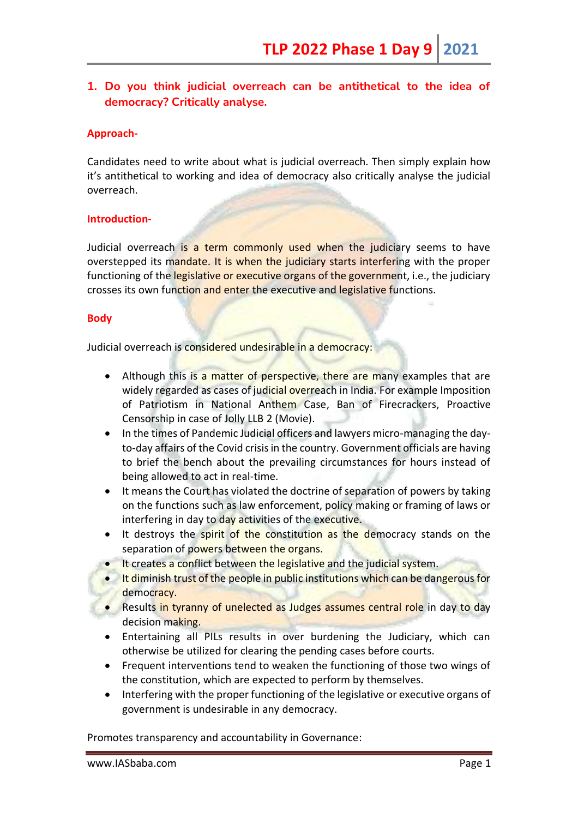# **1. Do you think judicial overreach can be antithetical to the idea of democracy? Critically analyse.**

### **Approach-**

Candidates need to write about what is judicial overreach. Then simply explain how it's antithetical to working and idea of democracy also critically analyse the judicial overreach.

### **Introduction**-

Judicial overreach is a term commonly used when the judiciary seems to have overstepped its mandate. It is when the judiciary starts interfering with the proper functioning of the legislative or executive organs of the government, i.e., the judiciary crosses its own function and enter the executive and legislative functions.

#### **Body**

Judicial overreach is considered undesirable in a democracy:

- Although this is a matter of perspective, there are many examples that are widely regarded as cases of judicial overreach in India. For example Imposition of Patriotism in National Anthem Case, Ban of Firecrackers, Proactive Censorship in case of Jolly LLB 2 (Movie).
- In the times of Pandemic Judicial officers and lawyers micro-managing the dayto-day affairs of the Covid crisis in the country. Government officials are having to brief the bench about the prevailing circumstances for hours instead of being allowed to act in real-time.
- It means the Court has violated the doctrine of separation of powers by taking on the functions such as law enforcement, policy making or framing of laws or interfering in day to day activities of the executive.
- It destroys the spirit of the constitution as the democracy stands on the separation of powers between the organs.
- It creates a conflict between the legislative and the judicial system.
- It diminish trust of the people in public institutions which can be dangerous for democracy.
- Results in tyranny of unelected as Judges assumes central role in day to day decision making.
- Entertaining all PILs results in over burdening the Judiciary, which can otherwise be utilized for clearing the pending cases before courts.
- Frequent interventions tend to weaken the functioning of those two wings of the constitution, which are expected to perform by themselves.
- Interfering with the proper functioning of the legislative or executive organs of government is undesirable in any democracy.

Promotes transparency and accountability in Governance: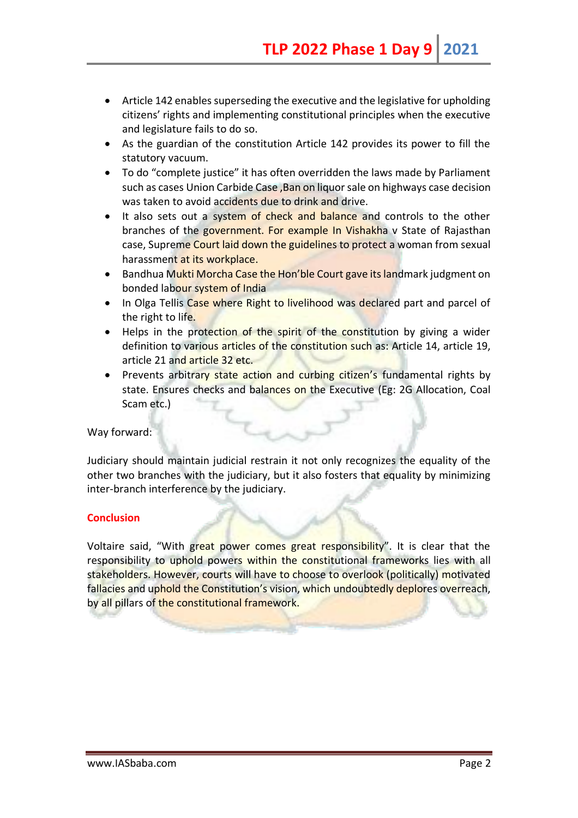- Article 142 enables superseding the executive and the legislative for upholding citizens' rights and implementing constitutional principles when the executive and legislature fails to do so.
- As the guardian of the constitution Article 142 provides its power to fill the statutory vacuum.
- To do "complete justice" it has often overridden the laws made by Parliament such as cases Union Carbide Case ,Ban on liquor sale on highways case decision was taken to avoid accidents due to drink and drive.
- It also sets out a system of check and balance and controls to the other branches of the government. For example In Vishakha v State of Rajasthan case, Supreme Court laid down the guidelines to protect a woman from sexual harassment at its workplace.
- Bandhua Mukti Morcha Case the Hon'ble Court gave its landmark judgment on bonded labour system of India
- In Olga Tellis Case where Right to livelihood was declared part and parcel of the right to life.
- Helps in the protection of the spirit of the constitution by giving a wider definition to various articles of the constitution such as: Article 14, article 19, article 21 and article 32 etc.
- Prevents arbitrary state action and curbing citizen's fundamental rights by state. Ensures checks and balances on the Executive (Eg: 2G Allocation, Coal Scam etc.)

## Way forward:

Judiciary should maintain judicial restrain it not only recognizes the equality of the other two branches with the judiciary, but it also fosters that equality by minimizing inter-branch interference by the judiciary.

## **Conclusion**

Voltaire said, "With great power comes great responsibility". It is clear that the responsibility to uphold powers within the constitutional frameworks lies with all stakeholders. However, courts will have to choose to overlook (politically) motivated fallacies and uphold the Constitution's vision, which undoubtedly deplores overreach, by all pillars of the constitutional framework.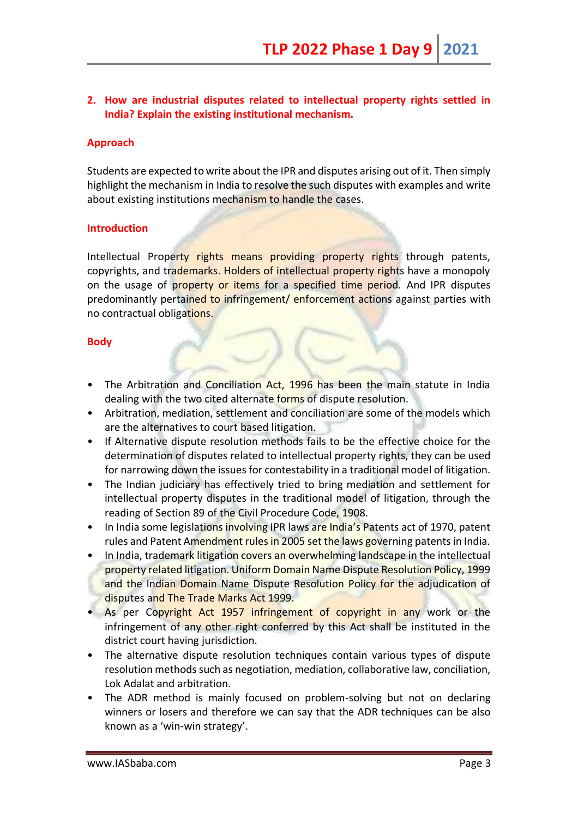# **2. How are industrial disputes related to intellectual property rights settled in India? Explain the existing institutional mechanism.**

### **Approach**

Students are expected to write about the IPR and disputes arising out of it. Then simply highlight the mechanism in India to resolve the such disputes with examples and write about existing institutions mechanism to handle the cases.

#### **Introduction**

Intellectual Property rights means providing property rights through patents, copyrights, and trademarks. Holders of intellectual property rights have a monopoly on the usage of property or items for a specified time period. And IPR disputes predominantly pertained to infringement/ enforcement actions against parties with no contractual obligations.

### **Body**

- The Arbitration and Conciliation Act, 1996 has been the main statute in India dealing with the two cited alternate forms of dispute resolution.
- Arbitration, mediation, settlement and conciliation are some of the models which are the alternatives to court based litigation.
- If Alternative dispute resolution methods fails to be the effective choice for the determination of disputes related to intellectual property rights, they can be used for narrowing down the issues for contestability in a traditional model of litigation.
- The Indian judiciary has effectively tried to bring mediation and settlement for intellectual property disputes in the traditional model of litigation, through the reading of Section 89 of the Civil Procedure Code, 1908.
- In India some legislations involving IPR laws are India's Patents act of 1970, patent rules and Patent Amendment rules in 2005 set the laws governing patents in India.
- In India, trademark litigation covers an overwhelming landscape in the intellectual property related litigation. Uniform Domain Name Dispute Resolution Policy, 1999 and the Indian Domain Name Dispute Resolution Policy for the adjudication of disputes and The Trade Marks Act 1999.
- As per Copyright Act 1957 infringement of copyright in any work or the infringement of any other right conferred by this Act shall be instituted in the district court having jurisdiction.
- The alternative dispute resolution techniques contain various types of dispute resolution methods such as negotiation, mediation, collaborative law, conciliation, Lok Adalat and arbitration.
- The ADR method is mainly focused on problem-solving but not on declaring winners or losers and therefore we can say that the ADR techniques can be also known as a 'win-win strategy'.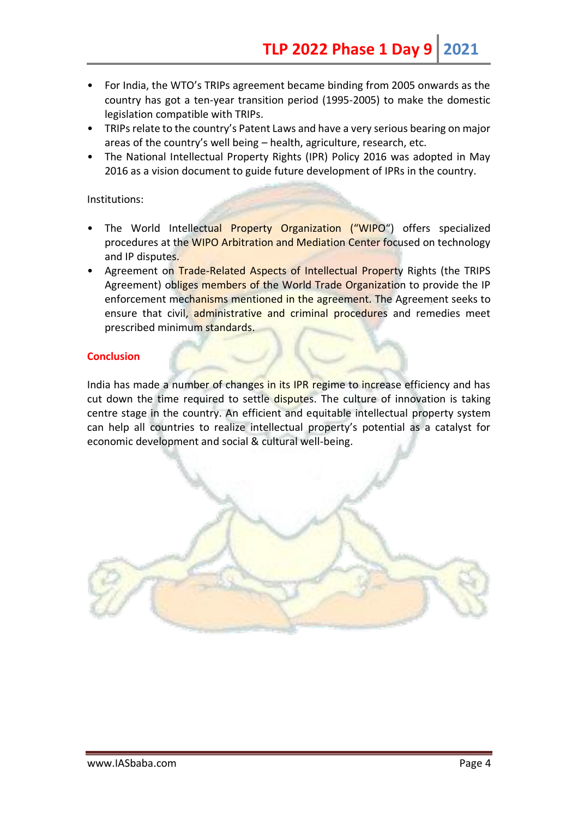- For India, the WTO's TRIPs agreement became binding from 2005 onwards as the country has got a ten-year transition period (1995-2005) to make the domestic legislation compatible with TRIPs.
- TRIPs relate to the country's Patent Laws and have a very serious bearing on major areas of the country's well being – health, agriculture, research, etc.
- The National Intellectual Property Rights (IPR) Policy 2016 was adopted in May 2016 as a vision document to guide future development of IPRs in the country.

#### Institutions:

- The World Intellectual Property Organization ("WIPO") offers specialized procedures at the WIPO Arbitration and Mediation Center focused on technology and IP disputes.
- Agreement on Trade-Related Aspects of Intellectual Property Rights (the TRIPS Agreement) obliges members of the World Trade Organization to provide the IP enforcement mechanisms mentioned in the agreement. The Agreement seeks to ensure that civil, administrative and criminal procedures and remedies meet prescribed minimum standards.

# **Conclusion**

India has made a number of changes in its IPR regime to increase efficiency and has cut down the time required to settle disputes. The culture of innovation is taking centre stage in the country. An efficient and equitable intellectual property system can help all countries to realize intellectual property's potential as a catalyst for economic development and social & cultural well-being.